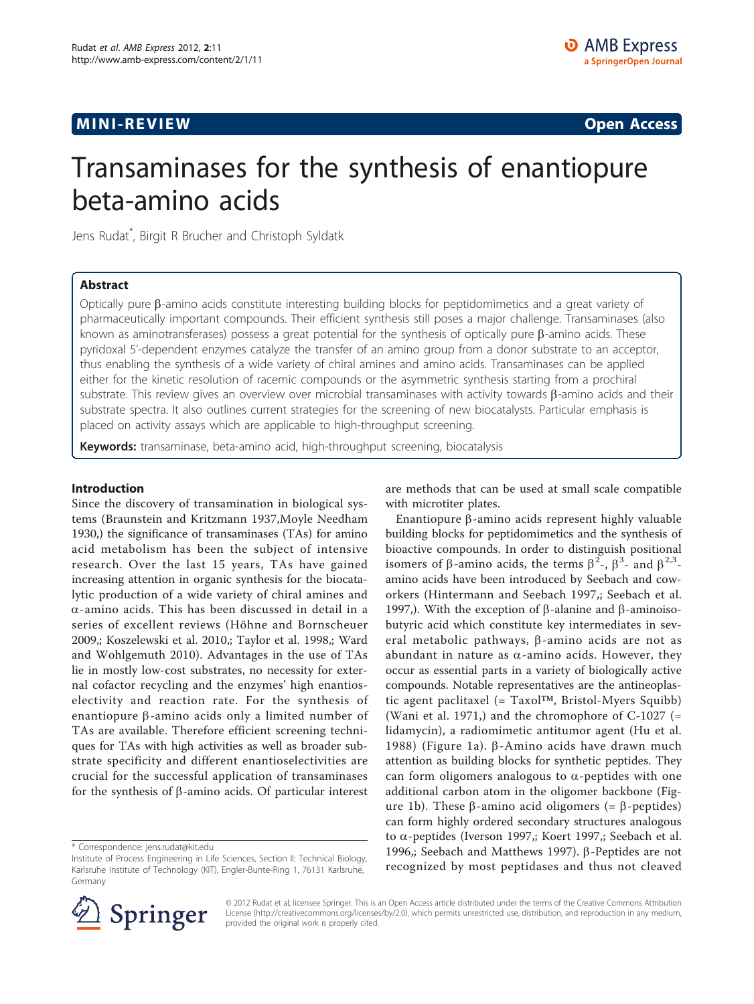# **MINI-REVIEW CONSTRUCTION CONSTRUCTION CONSTRUCTS**

# Transaminases for the synthesis of enantiopure beta-amino acids

Jens Rudat\* , Birgit R Brucher and Christoph Syldatk

## Abstract

Optically pure b-amino acids constitute interesting building blocks for peptidomimetics and a great variety of pharmaceutically important compounds. Their efficient synthesis still poses a major challenge. Transaminases (also known as aminotransferases) possess a great potential for the synthesis of optically pure  $\beta$ -amino acids. These pyridoxal 5'-dependent enzymes catalyze the transfer of an amino group from a donor substrate to an acceptor, thus enabling the synthesis of a wide variety of chiral amines and amino acids. Transaminases can be applied either for the kinetic resolution of racemic compounds or the asymmetric synthesis starting from a prochiral substrate. This review gives an overview over microbial transaminases with activity towards  $\beta$ -amino acids and their substrate spectra. It also outlines current strategies for the screening of new biocatalysts. Particular emphasis is placed on activity assays which are applicable to high-throughput screening.

Keywords: transaminase, beta-amino acid, high-throughput screening, biocatalysis

#### Introduction

Since the discovery of transamination in biological systems [\(Braunstein and Kritzmann 1937,](#page-8-0)[Moyle Needham](#page-9-0) [1930](#page-9-0),) the significance of transaminases (TAs) for amino acid metabolism has been the subject of intensive research. Over the last 15 years, TAs have gained increasing attention in organic synthesis for the biocatalytic production of a wide variety of chiral amines and  $\alpha$ -amino acids. This has been discussed in detail in a series of excellent reviews ([Höhne and Bornscheuer](#page-8-0) [2009](#page-8-0),; [Koszelewski et al. 2010](#page-8-0),; [Taylor et al. 1998,](#page-9-0); [Ward](#page-9-0) [and Wohlgemuth 2010\)](#page-9-0). Advantages in the use of TAs lie in mostly low-cost substrates, no necessity for external cofactor recycling and the enzymes' high enantioselectivity and reaction rate. For the synthesis of enantiopure  $\beta$ -amino acids only a limited number of TAs are available. Therefore efficient screening techniques for TAs with high activities as well as broader substrate specificity and different enantioselectivities are crucial for the successful application of transaminases for the synthesis of  $\beta$ -amino acids. Of particular interest

are methods that can be used at small scale compatible with microtiter plates.

Enantiopure  $\beta$ -amino acids represent highly valuable building blocks for peptidomimetics and the synthesis of bioactive compounds. In order to distinguish positional isomers of  $\beta$ -amino acids, the terms  $\beta^2$ -,  $\beta^3$ - and  $\beta^{2,3}$ -<br>amino acids have been introduced by Seebach and cowamino acids have been introduced by Seebach and coworkers [\(Hintermann and Seebach 1997](#page-8-0),; [Seebach et al.](#page-9-0) [1997](#page-9-0),). With the exception of  $\beta$ -alanine and  $\beta$ -aminoisobutyric acid which constitute key intermediates in several metabolic pathways,  $\beta$ -amino acids are not as abundant in nature as  $\alpha$ -amino acids. However, they occur as essential parts in a variety of biologically active compounds. Notable representatives are the antineoplastic agent paclitaxel (= Taxol™, Bristol-Myers Squibb) ([Wani et al. 1971,](#page-9-0)) and the chromophore of  $C-1027$  (= lidamycin), a radiomimetic antitumor agent ([Hu et al.](#page-8-0) [1988\)](#page-8-0) (Figure [1a](#page-1-0)).  $\beta$ -Amino acids have drawn much attention as building blocks for synthetic peptides. They can form oligomers analogous to  $\alpha$ -peptides with one additional carbon atom in the oligomer backbone (Fig-ure [1b\)](#page-1-0). These  $\beta$ -amino acid oligomers (=  $\beta$ -peptides) can form highly ordered secondary structures analogous to  $\alpha$ -peptides ([Iverson 1997](#page-8-0),; [Koert 1997](#page-8-0),; [Seebach et al.](#page-9-0) [1996,](#page-9-0); [Seebach and Matthews 1997](#page-9-0)).  $\beta$ -Peptides are not recognized by most peptidases and thus not cleaved



© 2012 Rudat et al; licensee Springer. This is an Open Access article distributed under the terms of the Creative Commons Attribution License [\(http://creativecommons.org/licenses/by/2.0](http://creativecommons.org/licenses/by/2.0)), which permits unrestricted use, distribution, and reproduction in any medium, provided the original work is properly cited.

<sup>\*</sup> Correspondence: [jens.rudat@kit.edu](mailto:jens.rudat@kit.edu)

Institute of Process Engineering in Life Sciences, Section II: Technical Biology, Karlsruhe Institute of Technology (KIT), Engler-Bunte-Ring 1, 76131 Karlsruhe, Germany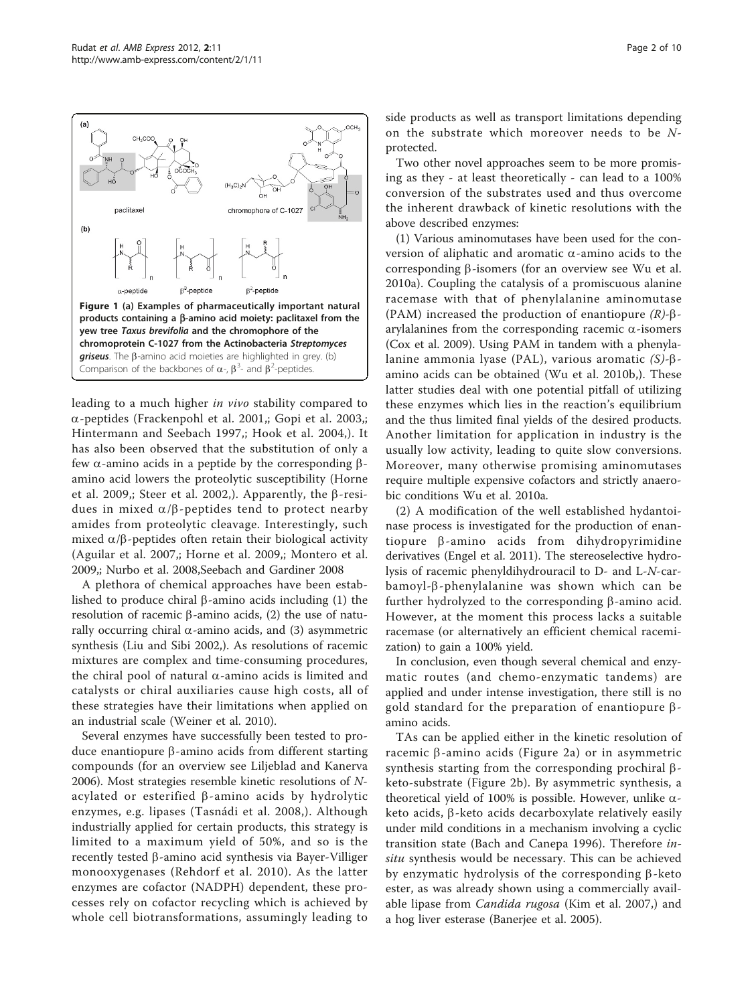leading to a much higher in vivo stability compared to a-peptides ([Frackenpohl et al. 2001](#page-8-0),; [Gopi et al. 2003](#page-8-0),; [Hintermann and Seebach 1997,](#page-9-0); [Hook et al. 2004](#page-8-0),). It has also been observed that the substitution of only a few  $\alpha$ -amino acids in a peptide by the corresponding  $\beta$ amino acid lowers the proteolytic susceptibility ([Horne](#page-8-0) [et al. 2009,](#page-8-0); [Steer et al. 2002,](#page-9-0)). Apparently, the  $\beta$ -residues in mixed  $\alpha/\beta$ -peptides tend to protect nearby amides from proteolytic cleavage. Interestingly, such mixed  $\alpha/\beta$ -peptides often retain their biological activity ([Aguilar et al. 2007,](#page-8-0); [Horne et al. 2009,](#page-8-0); [Montero et al.](#page-9-0) [2009](#page-9-0),; [Nurbo et al. 2008,Seebach and Gardiner 2008](#page-9-0)

A plethora of chemical approaches have been established to produce chiral  $\beta$ -amino acids including (1) the resolution of racemic  $\beta$ -amino acids, (2) the use of naturally occurring chiral  $\alpha$ -amino acids, and (3) asymmetric synthesis ([Liu and Sibi 2002,](#page-8-0)). As resolutions of racemic mixtures are complex and time-consuming procedures, the chiral pool of natural  $\alpha$ -amino acids is limited and catalysts or chiral auxiliaries cause high costs, all of these strategies have their limitations when applied on an industrial scale [\(Weiner et al. 2010](#page-9-0)).

Several enzymes have successfully been tested to produce enantiopure β-amino acids from different starting compounds (for an overview see Liljeblad and Kanerva 2006). Most strategies resemble kinetic resolutions of  $N$ acylated or esterified  $\beta$ -amino acids by hydrolytic enzymes, e.g. lipases ([Tasnádi et al. 2008](#page-9-0),). Although industrially applied for certain products, this strategy is limited to a maximum yield of 50%, and so is the recently tested  $\beta$ -amino acid synthesis via Bayer-Villiger monooxygenases ([Rehdorf et al. 2010\)](#page-9-0). As the latter enzymes are cofactor (NADPH) dependent, these processes rely on cofactor recycling which is achieved by whole cell biotransformations, assumingly leading to side products as well as transport limitations depending on the substrate which moreover needs to be Nprotected.

Two other novel approaches seem to be more promising as they - at least theoretically - can lead to a 100% conversion of the substrates used and thus overcome the inherent drawback of kinetic resolutions with the above described enzymes:

(1) Various aminomutases have been used for the conversion of aliphatic and aromatic  $\alpha$ -amino acids to the corresponding  $\beta$ -isomers (for an overview see [Wu et al.](#page-9-0) [2010a\)](#page-9-0). Coupling the catalysis of a promiscuous alanine racemase with that of phenylalanine aminomutase (PAM) increased the production of enantiopure  $(R)$ - $\beta$ arylalanines from the corresponding racemic  $\alpha$ -isomers ([Cox et al. 2009](#page-8-0)). Using PAM in tandem with a phenylalanine ammonia lyase (PAL), various aromatic  $(S)-\beta$ amino acids can be obtained ([Wu et al. 2010b](#page-9-0),). These latter studies deal with one potential pitfall of utilizing these enzymes which lies in the reaction's equilibrium and the thus limited final yields of the desired products. Another limitation for application in industry is the usually low activity, leading to quite slow conversions. Moreover, many otherwise promising aminomutases require multiple expensive cofactors and strictly anaerobic conditions [Wu et al. 2010a](#page-9-0).

(2) A modification of the well established hydantoinase process is investigated for the production of enantiopure  $\beta$ -amino acids from dihydropyrimidine derivatives ([Engel et al. 2011](#page-8-0)). The stereoselective hydrolysis of racemic phenyldihydrouracil to D- and L-N-carbamoyl-b-phenylalanine was shown which can be further hydrolyzed to the corresponding  $\beta$ -amino acid. However, at the moment this process lacks a suitable racemase (or alternatively an efficient chemical racemization) to gain a 100% yield.

In conclusion, even though several chemical and enzymatic routes (and chemo-enzymatic tandems) are applied and under intense investigation, there still is no gold standard for the preparation of enantiopure  $\beta$ amino acids.

TAs can be applied either in the kinetic resolution of racemic  $\beta$ -amino acids (Figure [2a](#page-2-0)) or in asymmetric synthesis starting from the corresponding prochiral  $\beta$ keto-substrate (Figure [2b\)](#page-2-0). By asymmetric synthesis, a theoretical yield of 100% is possible. However, unlike  $\alpha$ keto acids,  $\beta$ -keto acids decarboxylate relatively easily under mild conditions in a mechanism involving a cyclic transition state [\(Bach and Canepa 1996\)](#page-8-0). Therefore insitu synthesis would be necessary. This can be achieved by enzymatic hydrolysis of the corresponding  $\beta$ -keto ester, as was already shown using a commercially available lipase from *Candida rugosa* [\(Kim et al. 2007](#page-8-0),) and a hog liver esterase ([Banerjee et al. 2005](#page-8-0)).

<span id="page-1-0"></span>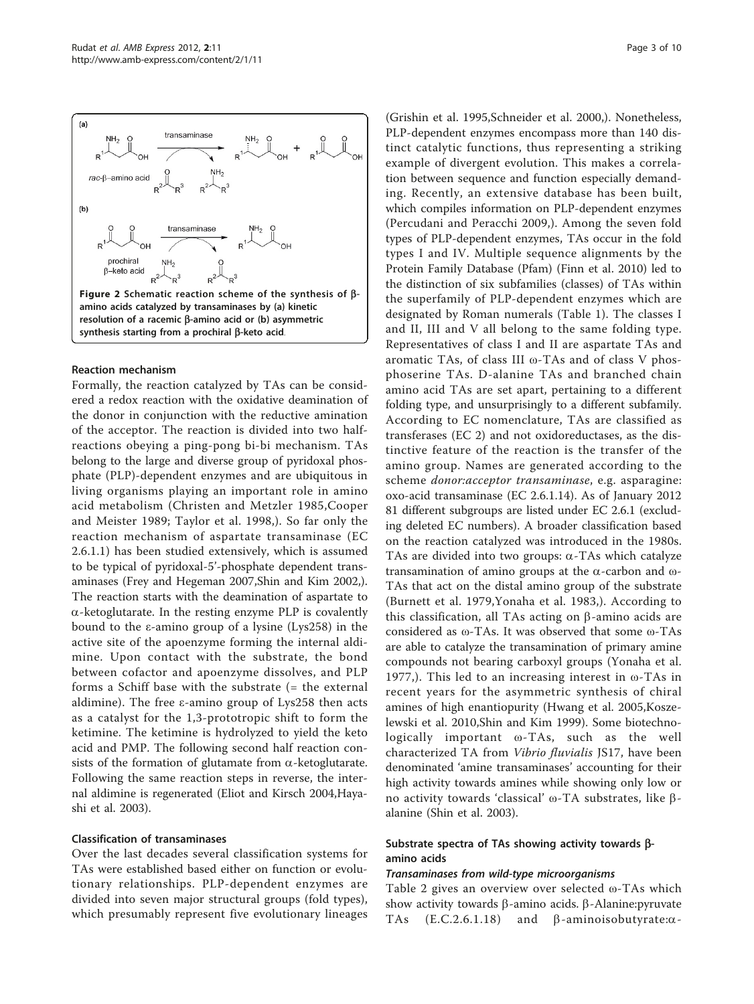<span id="page-2-0"></span>

#### Reaction mechanism

Formally, the reaction catalyzed by TAs can be considered a redox reaction with the oxidative deamination of the donor in conjunction with the reductive amination of the acceptor. The reaction is divided into two halfreactions obeying a ping-pong bi-bi mechanism. TAs belong to the large and diverse group of pyridoxal phosphate (PLP)-dependent enzymes and are ubiquitous in living organisms playing an important role in amino acid metabolism ([Christen and Metzler 1985](#page-8-0),[Cooper](#page-8-0) [and Meister 1989; Taylor et al. 1998,](#page-8-0)). So far only the reaction mechanism of aspartate transaminase (EC 2.6.1.1) has been studied extensively, which is assumed to be typical of pyridoxal-5'-phosphate dependent transaminases ([Frey and Hegeman 2007](#page-8-0)[,Shin and Kim 2002,](#page-9-0)). The reaction starts with the deamination of aspartate to  $\alpha$ -ketoglutarate. In the resting enzyme PLP is covalently bound to the ε-amino group of a lysine (Lys258) in the active site of the apoenzyme forming the internal aldimine. Upon contact with the substrate, the bond between cofactor and apoenzyme dissolves, and PLP forms a Schiff base with the substrate (= the external aldimine). The free ε-amino group of Lys258 then acts as a catalyst for the 1,3-prototropic shift to form the ketimine. The ketimine is hydrolyzed to yield the keto acid and PMP. The following second half reaction consists of the formation of glutamate from  $\alpha$ -ketoglutarate. Following the same reaction steps in reverse, the internal aldimine is regenerated ([Eliot and Kirsch 2004,Haya](#page-8-0)[shi et al. 2003](#page-8-0)).

#### Classification of transaminases

Over the last decades several classification systems for TAs were established based either on function or evolutionary relationships. PLP-dependent enzymes are divided into seven major structural groups (fold types), which presumably represent five evolutionary lineages

([Grishin et al. 1995,](#page-8-0)[Schneider et al. 2000](#page-9-0),). Nonetheless, PLP-dependent enzymes encompass more than 140 distinct catalytic functions, thus representing a striking example of divergent evolution. This makes a correlation between sequence and function especially demanding. Recently, an extensive database has been built, which compiles information on PLP-dependent enzymes ([Percudani and Peracchi 2009,](#page-9-0)). Among the seven fold types of PLP-dependent enzymes, TAs occur in the fold types I and IV. Multiple sequence alignments by the Protein Family Database (Pfam) [\(Finn et al. 2010](#page-8-0)) led to the distinction of six subfamilies (classes) of TAs within the superfamily of PLP-dependent enzymes which are designated by Roman numerals (Table [1](#page-3-0)). The classes I and II, III and V all belong to the same folding type. Representatives of class I and II are aspartate TAs and aromatic TAs, of class III ω-TAs and of class V phosphoserine TAs. D-alanine TAs and branched chain amino acid TAs are set apart, pertaining to a different folding type, and unsurprisingly to a different subfamily. According to EC nomenclature, TAs are classified as transferases (EC 2) and not oxidoreductases, as the distinctive feature of the reaction is the transfer of the amino group. Names are generated according to the scheme donor:acceptor transaminase, e.g. asparagine: oxo-acid transaminase (EC 2.6.1.14). As of January 2012 81 different subgroups are listed under EC 2.6.1 (excluding deleted EC numbers). A broader classification based on the reaction catalyzed was introduced in the 1980s. TAs are divided into two groups:  $\alpha$ -TAs which catalyze transamination of amino groups at the a-carbon and <sup>ω</sup>-TAs that act on the distal amino group of the substrate ([Burnett et al. 1979,](#page-8-0)[Yonaha et al. 1983](#page-9-0),). According to this classification, all TAs acting on  $\beta$ -amino acids are considered as ω-TAs. It was observed that some ω-TAs are able to catalyze the transamination of primary amine compounds not bearing carboxyl groups ([Yonaha et al.](#page-9-0) [1977](#page-9-0),). This led to an increasing interest in ω-TAs in recent years for the asymmetric synthesis of chiral amines of high enantiopurity [\(Hwang et al. 2005](#page-8-0),[Kosze](#page-8-0)[lewski et al. 2010,](#page-8-0)[Shin and Kim 1999](#page-9-0)). Some biotechnologically important ω-TAs, such as the well characterized TA from Vibrio fluvialis JS17, have been denominated 'amine transaminases' accounting for their high activity towards amines while showing only low or no activity towards 'classical' ω-TA substrates, like  $β$ alanine [\(Shin et al. 2003](#page-9-0)).

### Substrate spectra of TAs showing activity towards  $\beta$ amino acids

### Transaminases from wild-type microorganisms

Table [2](#page-3-0) gives an overview over selected ω-TAs which show activity towards  $\beta$ -amino acids.  $\beta$ -Alanine: pyruvate TAs (E.C.2.6.1.18) and  $\beta$ -aminoisobutyrate:  $\alpha$ - $( E.C.2.6.1.18)$  and  $\beta$ -aminoisobutyrate: $\alpha$ -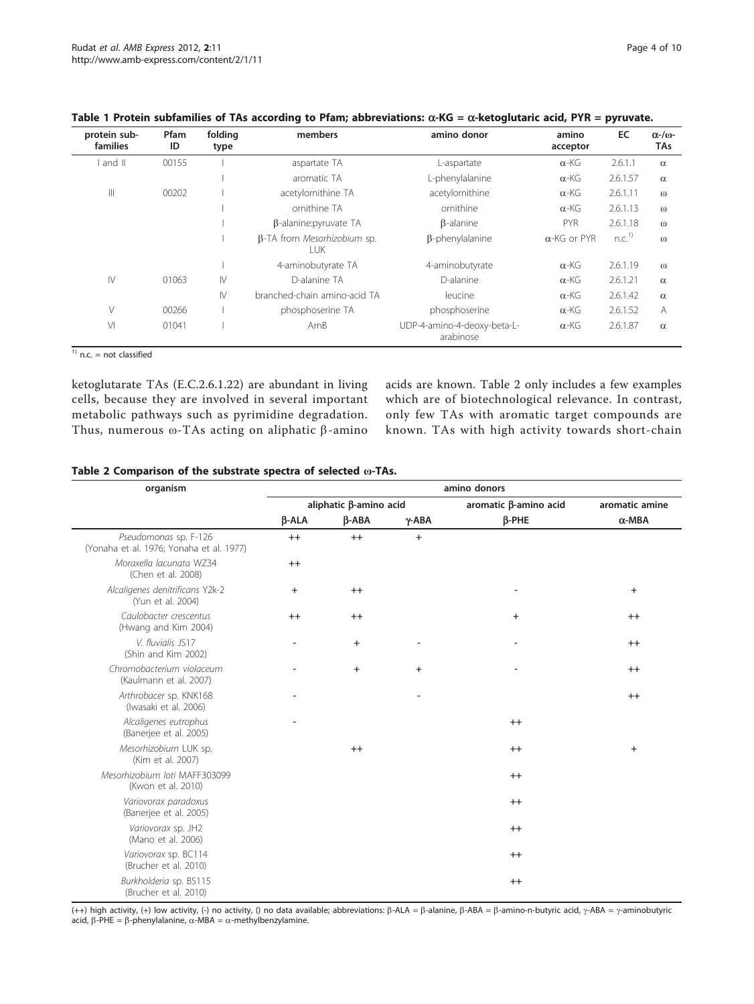| protein sub-<br>families | Pfam<br>ID | folding<br>type | members                                    | amino donor                              | amino<br>acceptor   | EC                | $\alpha$ -/ $\omega$ -<br>TAs |
|--------------------------|------------|-----------------|--------------------------------------------|------------------------------------------|---------------------|-------------------|-------------------------------|
| and II                   | 00155      |                 | aspartate TA                               | L-aspartate                              | $\alpha$ -KG        | 2.6.1.1           | $\alpha$                      |
|                          |            |                 | aromatic TA                                | L-phenylalanine                          | $\alpha$ -KG        | 2.6.1.57          | $\alpha$                      |
| $\parallel$              | 00202      |                 | acetylornithine TA                         | acetylornithine                          | $\alpha$ -KG        | 2.6.1.11          | $\omega$                      |
|                          |            |                 | ornithine TA                               | ornithine                                | $\alpha$ -KG        | 2.6.1.13          | $\omega$                      |
|                          |            |                 | $\beta$ -alanine: pyruvate TA              | $\beta$ -alanine                         | <b>PYR</b>          | 2.6.1.18          | $\omega$                      |
|                          |            |                 | <b>B-TA</b> from Mesorhizobium sp.<br>LUK. | $\beta$ -phenylalanine                   | $\alpha$ -KG or PYR | n.C. <sup>1</sup> | $\omega$                      |
|                          |            |                 | 4-aminobutyrate TA                         | 4-aminobutyrate                          | $\alpha$ -KG        | 2.6.1.19          | $\omega$                      |
| $\mathsf{IV}$            | 01063      | $\mathsf{IV}$   | D-alanine TA                               | D-alanine                                | $\alpha$ -KG        | 2.6.1.21          | $\alpha$                      |
|                          |            | $\mathsf{IV}$   | branched-chain amino-acid TA               | leucine                                  | $\alpha$ -KG        | 2.6.1.42          | $\alpha$                      |
| $\vee$                   | 00266      |                 | phosphoserine TA                           | phosphoserine                            | $\alpha$ -KG        | 2.6.1.52          | $\overline{A}$                |
| VI                       | 01041      |                 | ArnB                                       | UDP-4-amino-4-deoxy-beta-L-<br>arabinose | $\alpha$ -KG        | 2.6.1.87          | $\alpha$                      |

<span id="page-3-0"></span>

|  |  |                                                                                                                 | Table 1 Protein subfamilies of TAs according to Pfam; abbreviations: $\alpha$ -KG = $\alpha$ -ketoglutaric acid, PYR = pyruvate. |                                                                                                                 |  |
|--|--|-----------------------------------------------------------------------------------------------------------------|----------------------------------------------------------------------------------------------------------------------------------|-----------------------------------------------------------------------------------------------------------------|--|
|  |  | the contract of the contract of the contract of the contract of the contract of the contract of the contract of | the contract of the contract of the contract of the contract of the contract of the contract of the contract of                  | the contract of the contract of the contract of the contract of the contract of the contract of the contract of |  |

 $\overline{1)}$  n.c. = not classified

ketoglutarate TAs (E.C.2.6.1.22) are abundant in living cells, because they are involved in several important metabolic pathways such as pyrimidine degradation. Thus, numerous  $\omega$ -TAs acting on aliphatic  $\beta$ -amino

acids are known. Table 2 only includes a few examples which are of biotechnological relevance. In contrast, only few TAs with aromatic target compounds are known. TAs with high activity towards short-chain

|  |  | Table 2 Comparison of the substrate spectra of selected @-TAs. |  |  |  |  |  |  |
|--|--|----------------------------------------------------------------|--|--|--|--|--|--|
|--|--|----------------------------------------------------------------|--|--|--|--|--|--|

| organism                                                          | amino donors                 |           |                |                          |                |  |  |  |
|-------------------------------------------------------------------|------------------------------|-----------|----------------|--------------------------|----------------|--|--|--|
|                                                                   | aliphatic β-amino acid       |           |                | aromatic β-amino acid    | aromatic amine |  |  |  |
|                                                                   | $\beta$ -ALA                 | $B-ABA$   | $\gamma$ -ABA  | $\beta$ -PHE             | $\alpha$ -MBA  |  |  |  |
| Pseudomonas sp. F-126<br>(Yonaha et al. 1976; Yonaha et al. 1977) | $^{++}$                      | $^{++}$   | $\ddot{}$      |                          |                |  |  |  |
| Moraxella lacunata WZ34<br>(Chen et al. 2008)                     | $^{++}$                      |           |                |                          |                |  |  |  |
| Alcaligenes denitrificans Y2k-2<br>(Yun et al. 2004)              | $+$                          | $++$      |                |                          | $+$            |  |  |  |
| Caulobacter crescentus<br>(Hwang and Kim 2004)                    | $++$                         | $^{++}$   |                | $\ddot{}$                | $^{++}$        |  |  |  |
| V. fluvialis JS17<br>(Shin and Kim 2002)                          | $\qquad \qquad \blacksquare$ | $\ddot{}$ | $\overline{a}$ | $\overline{\phantom{a}}$ | $^{++}$        |  |  |  |
| Chromobacterium violaceum<br>(Kaulmann et al. 2007)               |                              | $+$       | $\ddot{}$      |                          | $^{++}$        |  |  |  |
| Arthrobacer sp. KNK168<br>(Iwasaki et al. 2006)                   | $\overline{a}$               |           |                |                          | $^{++}$        |  |  |  |
| Alcaligenes eutrophus<br>(Banerjee et al. 2005)                   |                              |           |                | $^{++}$                  |                |  |  |  |
| Mesorhizobium LUK sp.<br>(Kim et al. 2007)                        |                              | $^{++}$   |                | $^{++}$                  | $\ddot{}$      |  |  |  |
| Mesorhizobium loti MAFF303099<br>(Kwon et al. 2010)               |                              |           |                | $^{++}$                  |                |  |  |  |
| Variovorax paradoxus<br>(Banerjee et al. 2005)                    |                              |           |                | $^{++}$                  |                |  |  |  |
| Variovorax sp. JH2<br>(Mano et al. 2006)                          |                              |           |                | $^{++}$                  |                |  |  |  |
| Variovorax sp. BC114<br>(Brucher et al. 2010)                     |                              |           |                | $^{++}$                  |                |  |  |  |
| Burkholderia sp. BS115<br>(Brucher et al. 2010)                   |                              |           |                | $^{++}$                  |                |  |  |  |

(++) high activity, (+) low activity, (-) no activity, () no data available; abbreviations:  $\beta$ -ALA =  $\beta$ -alanine,  $\beta$ -ABA =  $\beta$ -amino-n-butyric acid,  $\gamma$ -ABA =  $\gamma$ -aminobutyric acid,  $\beta$ -PHE =  $\beta$ -phenylalanine,  $\alpha$ -MBA =  $\alpha$ -methylbenzylamine.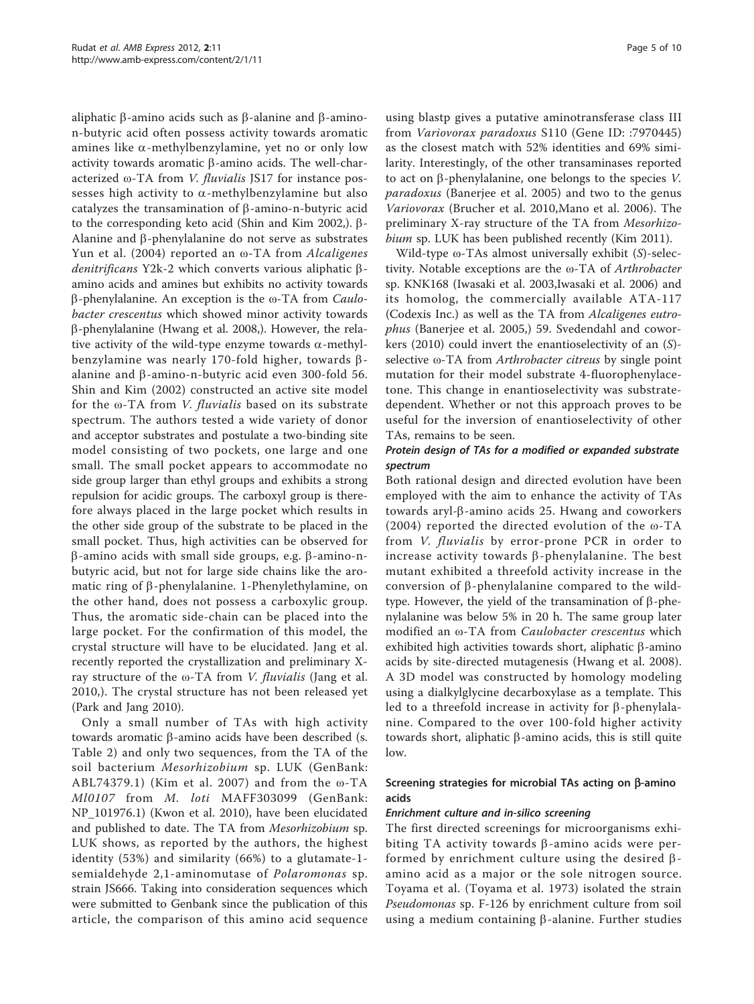aliphatic  $\beta$ -amino acids such as  $\beta$ -alanine and  $\beta$ -aminon-butyric acid often possess activity towards aromatic amines like  $\alpha$ -methylbenzylamine, yet no or only low activity towards aromatic  $\beta$ -amino acids. The well-characterized ω-TA from V. fluvialis JS17 for instance possesses high activity to  $\alpha$ -methylbenzylamine but also catalyzes the transamination of  $\beta$ -amino-n-butyric acid to the corresponding keto acid ([Shin and Kim 2002,](#page-9-0)). b-Alanine and  $\beta$ -phenylalanine do not serve as substrates [Yun et al. \(2004\)](#page-9-0) reported an ω-TA from Alcaligenes denitrificans Y2k-2 which converts various aliphatic  $\beta$ amino acids and amines but exhibits no activity towards  $β$ -phenylalanine. An exception is the ω-TA from *Caulo*bacter crescentus which showed minor activity towards b-phenylalanine [\(Hwang et al. 2008](#page-8-0),). However, the relative activity of the wild-type enzyme towards  $\alpha$ -methylbenzylamine was nearly 170-fold higher, towards  $\beta$ alanine and  $\beta$ -amino-n-butyric acid even 300-fold [56](#page-9-0). Shin and Kim (2002) constructed an active site model for the ω-TA from V. fluvialis based on its substrate spectrum. The authors tested a wide variety of donor and acceptor substrates and postulate a two-binding site model consisting of two pockets, one large and one small. The small pocket appears to accommodate no side group larger than ethyl groups and exhibits a strong repulsion for acidic groups. The carboxyl group is therefore always placed in the large pocket which results in the other side group of the substrate to be placed in the small pocket. Thus, high activities can be observed for  $\beta$ -amino acids with small side groups, e.g.  $\beta$ -amino-nbutyric acid, but not for large side chains like the aromatic ring of  $\beta$ -phenylalanine. 1-Phenylethylamine, on the other hand, does not possess a carboxylic group. Thus, the aromatic side-chain can be placed into the large pocket. For the confirmation of this model, the crystal structure will have to be elucidated. Jang et al. recently reported the crystallization and preliminary Xray structure of the ω-TA from V. fluvialis ([Jang et al.](#page-8-0) [2010,](#page-8-0)). The crystal structure has not been released yet ([Park and Jang 2010\)](#page-9-0).

Only a small number of TAs with high activity towards aromatic  $\beta$ -amino acids have been described (s. Table [2\)](#page-3-0) and only two sequences, from the TA of the soil bacterium Mesorhizobium sp. LUK (GenBank: [ABL74379.1](http://www.ncbi.nih.gov/entrez/query.fcgi?db=Nucleotide&cmd=search&term=ABL74379.1)) ([Kim et al. 2007\)](#page-8-0) and from the ω-TA Ml0107 from M. loti MAFF303099 (GenBank: [NP\\_101976.1\)](http://www.ncbi.nih.gov/entrez/query.fcgi?db=Nucleotide&cmd=search&term=NP_101976.1) ([Kwon et al. 2010\)](#page-8-0), have been elucidated and published to date. The TA from Mesorhizobium sp. LUK shows, as reported by the authors, the highest identity (53%) and similarity (66%) to a glutamate-1 semialdehyde 2,1-aminomutase of Polaromonas sp. strain JS666. Taking into consideration sequences which were submitted to Genbank since the publication of this article, the comparison of this amino acid sequence

using blastp gives a putative aminotransferase class III from Variovorax paradoxus S110 (Gene ID: :[7970445](http://www.ncbi.nih.gov/entrez/query.fcgi?db=Nucleotide&cmd=search&term=7970445)) as the closest match with 52% identities and 69% similarity. Interestingly, of the other transaminases reported to act on  $\beta$ -phenylalanine, one belongs to the species V. paradoxus ([Banerjee et al. 2005](#page-8-0)) and two to the genus Variovorax ([Brucher et al. 2010,Mano et al. 2006](#page-8-0)). The preliminary X-ray structure of the TA from Mesorhizo-bium sp. LUK has been published recently [\(Kim 2011](#page-8-0)).

Wild-type  $\omega$ -TAs almost universally exhibit (S)-selectivity. Notable exceptions are the ω-TA of Arthrobacter sp. KNK168 [\(Iwasaki et al. 2003,Iwasaki et al. 2006\)](#page-8-0) and its homolog, the commercially available ATA-117 (Codexis Inc.) as well as the TA from Alcaligenes eutrophus ([Banerjee et al. 2005,](#page-8-0)) [59.](#page-9-0) Svedendahl and coworkers (2010) could invert the enantioselectivity of an (S) selective ω-TA from Arthrobacter citreus by single point mutation for their model substrate 4-fluorophenylacetone. This change in enantioselectivity was substratedependent. Whether or not this approach proves to be useful for the inversion of enantioselectivity of other TAs, remains to be seen.

## Protein design of TAs for a modified or expanded substrate spectrum

Both rational design and directed evolution have been employed with the aim to enhance the activity of TAs towards aryl-b-amino acids [25](#page-8-0). Hwang and coworkers (2004) reported the directed evolution of the ω-TA from *V. fluvialis* by error-prone PCR in order to increase activity towards  $\beta$ -phenylalanine. The best mutant exhibited a threefold activity increase in the conversion of  $\beta$ -phenylalanine compared to the wildtype. However, the yield of the transamination of  $\beta$ -phenylalanine was below 5% in 20 h. The same group later modified an ω-TA from Caulobacter crescentus which exhibited high activities towards short, aliphatic  $\beta$ -amino acids by site-directed mutagenesis ([Hwang et al. 2008](#page-8-0)). A 3D model was constructed by homology modeling using a dialkylglycine decarboxylase as a template. This led to a threefold increase in activity for  $\beta$ -phenylalanine. Compared to the over 100-fold higher activity towards short, aliphatic  $\beta$ -amino acids, this is still quite low.

## Screening strategies for microbial TAs acting on  $\beta$ -amino acids

## Enrichment culture and in-silico screening

The first directed screenings for microorganisms exhibiting TA activity towards  $\beta$ -amino acids were performed by enrichment culture using the desired  $\beta$ amino acid as a major or the sole nitrogen source. Toyama et al. ([Toyama et al. 1973\)](#page-9-0) isolated the strain Pseudomonas sp. F-126 by enrichment culture from soil using a medium containing  $\beta$ -alanine. Further studies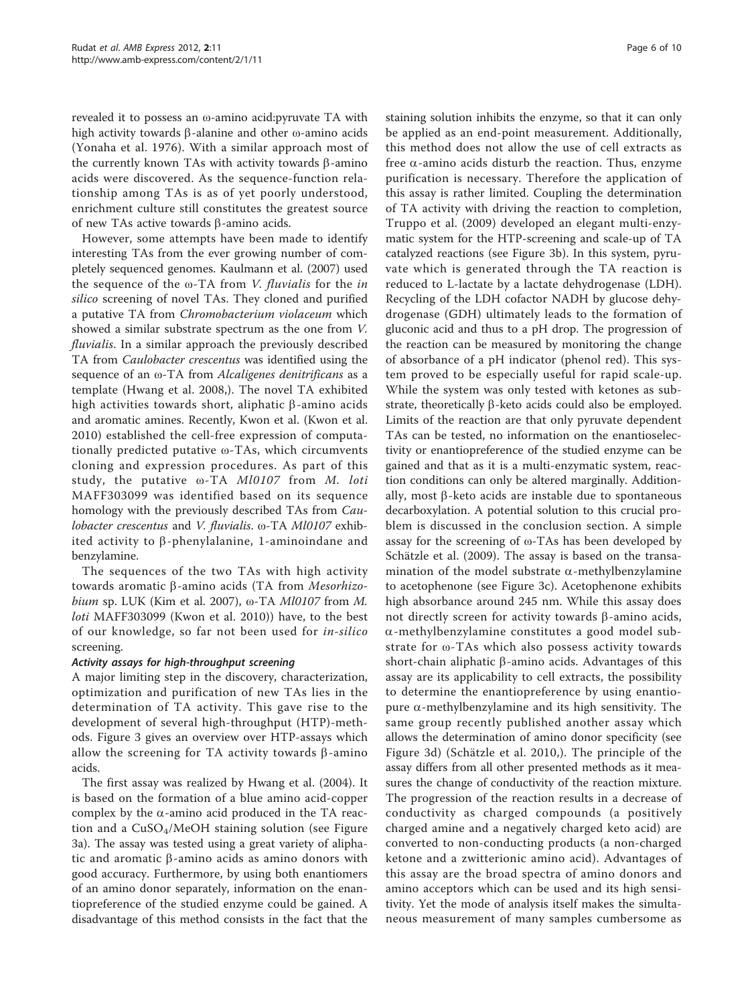revealed it to possess an ω-amino acid:pyruvate TA with high activity towards β-alanine and other  $ω$ -amino acids ([Yonaha et al. 1976](#page-9-0)). With a similar approach most of the currently known TAs with activity towards  $\beta$ -amino acids were discovered. As the sequence-function relationship among TAs is as of yet poorly understood, enrichment culture still constitutes the greatest source of new TAs active towards  $\beta$ -amino acids.

However, some attempts have been made to identify interesting TAs from the ever growing number of completely sequenced genomes. [Kaulmann et al. \(2007\)](#page-8-0) used the sequence of the  $\omega$ -TA from *V. fluvialis* for the *in* silico screening of novel TAs. They cloned and purified a putative TA from Chromobacterium violaceum which showed a similar substrate spectrum as the one from V. fluvialis. In a similar approach the previously described TA from Caulobacter crescentus was identified using the sequence of an ω-TA from Alcaligenes denitrificans as a template ([Hwang et al. 2008](#page-8-0),). The novel TA exhibited high activities towards short, aliphatic  $\beta$ -amino acids and aromatic amines. Recently, Kwon et al. [\(Kwon et al.](#page-8-0) [2010](#page-8-0)) established the cell-free expression of computationally predicted putative ω-TAs, which circumvents cloning and expression procedures. As part of this study, the putative ω-TA Ml0107 from M. loti MAFF303099 was identified based on its sequence homology with the previously described TAs from Caulobacter crescentus and V. fluvialis. ω-TA Ml0107 exhibited activity to  $\beta$ -phenylalanine, 1-aminoindane and benzylamine.

The sequences of the two TAs with high activity towards aromatic  $\beta$ -amino acids (TA from *Mesorhizo*-bium sp. LUK ([Kim et al. 2007\)](#page-8-0),  $\omega$ -TA *Ml0107* from *M*. loti MAFF303099 ([Kwon et al. 2010](#page-8-0))) have, to the best of our knowledge, so far not been used for in-silico screening.

## Activity assays for high-throughput screening

A major limiting step in the discovery, characterization, optimization and purification of new TAs lies in the determination of TA activity. This gave rise to the development of several high-throughput (HTP)-methods. Figure [3](#page-6-0) gives an overview over HTP-assays which allow the screening for TA activity towards  $\beta$ -amino acids.

The first assay was realized by [Hwang et al. \(2004\)](#page-8-0). It is based on the formation of a blue amino acid-copper complex by the  $\alpha$ -amino acid produced in the TA reaction and a  $CuSO<sub>4</sub>/MeOH$  staining solution (see Figure [3a\)](#page-6-0). The assay was tested using a great variety of aliphatic and aromatic  $\beta$ -amino acids as amino donors with good accuracy. Furthermore, by using both enantiomers of an amino donor separately, information on the enantiopreference of the studied enzyme could be gained. A disadvantage of this method consists in the fact that the staining solution inhibits the enzyme, so that it can only be applied as an end-point measurement. Additionally, this method does not allow the use of cell extracts as free  $\alpha$ -amino acids disturb the reaction. Thus, enzyme purification is necessary. Therefore the application of this assay is rather limited. Coupling the determination of TA activity with driving the reaction to completion, [Truppo et al. \(2009\)](#page-9-0) developed an elegant multi-enzymatic system for the HTP-screening and scale-up of TA catalyzed reactions (see Figure [3b](#page-6-0)). In this system, pyruvate which is generated through the TA reaction is reduced to L-lactate by a lactate dehydrogenase (LDH). Recycling of the LDH cofactor NADH by glucose dehydrogenase (GDH) ultimately leads to the formation of gluconic acid and thus to a pH drop. The progression of the reaction can be measured by monitoring the change of absorbance of a pH indicator (phenol red). This system proved to be especially useful for rapid scale-up. While the system was only tested with ketones as substrate, theoretically  $\beta$ -keto acids could also be employed. Limits of the reaction are that only pyruvate dependent TAs can be tested, no information on the enantioselectivity or enantiopreference of the studied enzyme can be gained and that as it is a multi-enzymatic system, reaction conditions can only be altered marginally. Additionally, most  $\beta$ -keto acids are instable due to spontaneous decarboxylation. A potential solution to this crucial problem is discussed in the conclusion section. A simple assay for the screening of ω-TAs has been developed by [Schätzle et al. \(2009\).](#page-9-0) The assay is based on the transamination of the model substrate  $\alpha$ -methylbenzylamine to acetophenone (see Figure [3c\)](#page-6-0). Acetophenone exhibits high absorbance around 245 nm. While this assay does not directly screen for activity towards  $\beta$ -amino acids, a-methylbenzylamine constitutes a good model substrate for ω-TAs which also possess activity towards short-chain aliphatic  $\beta$ -amino acids. Advantages of this assay are its applicability to cell extracts, the possibility to determine the enantiopreference by using enantiopure  $\alpha$ -methylbenzylamine and its high sensitivity. The same group recently published another assay which allows the determination of amino donor specificity (see Figure [3d\)](#page-6-0) ([Schätzle et al. 2010,](#page-9-0)). The principle of the assay differs from all other presented methods as it measures the change of conductivity of the reaction mixture. The progression of the reaction results in a decrease of conductivity as charged compounds (a positively charged amine and a negatively charged keto acid) are converted to non-conducting products (a non-charged ketone and a zwitterionic amino acid). Advantages of this assay are the broad spectra of amino donors and amino acceptors which can be used and its high sensitivity. Yet the mode of analysis itself makes the simultaneous measurement of many samples cumbersome as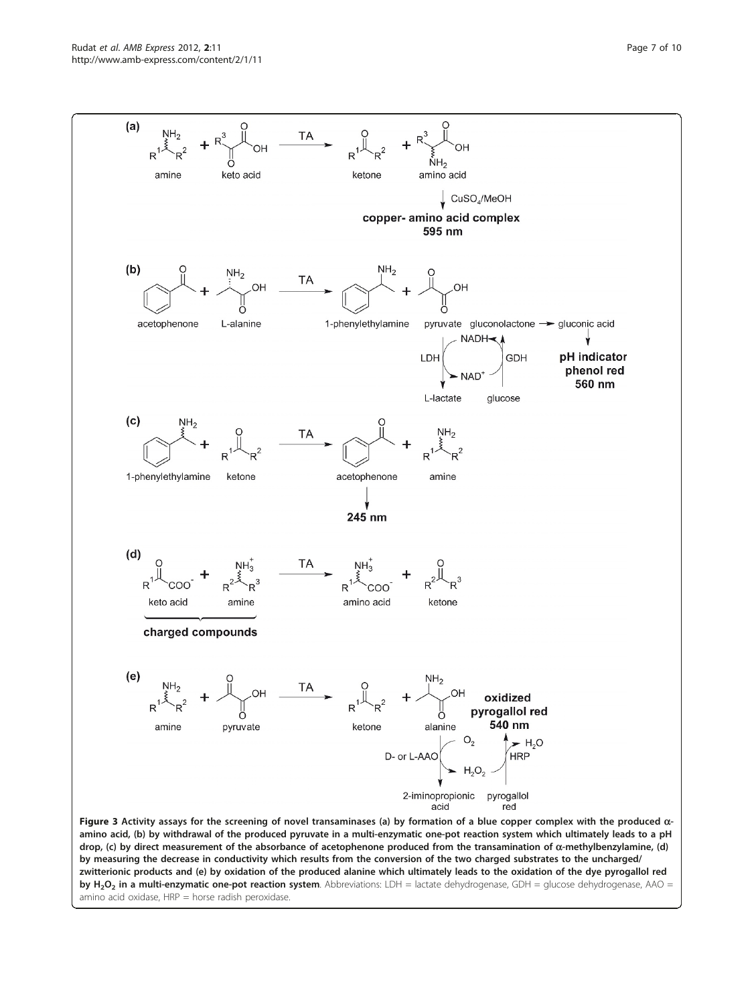<span id="page-6-0"></span>

by measuring the decrease in conductivity which results from the conversion of the two charged substrates to the uncharged/ zwitterionic products and (e) by oxidation of the produced alanine which ultimately leads to the oxidation of the dye pyrogallol red by H<sub>2</sub>O<sub>2</sub> in a multi-enzymatic one-pot reaction system. Abbreviations: LDH = lactate dehydrogenase, GDH = glucose dehydrogenase, AAO = amino acid oxidase,  $HRP =$  horse radish peroxidase.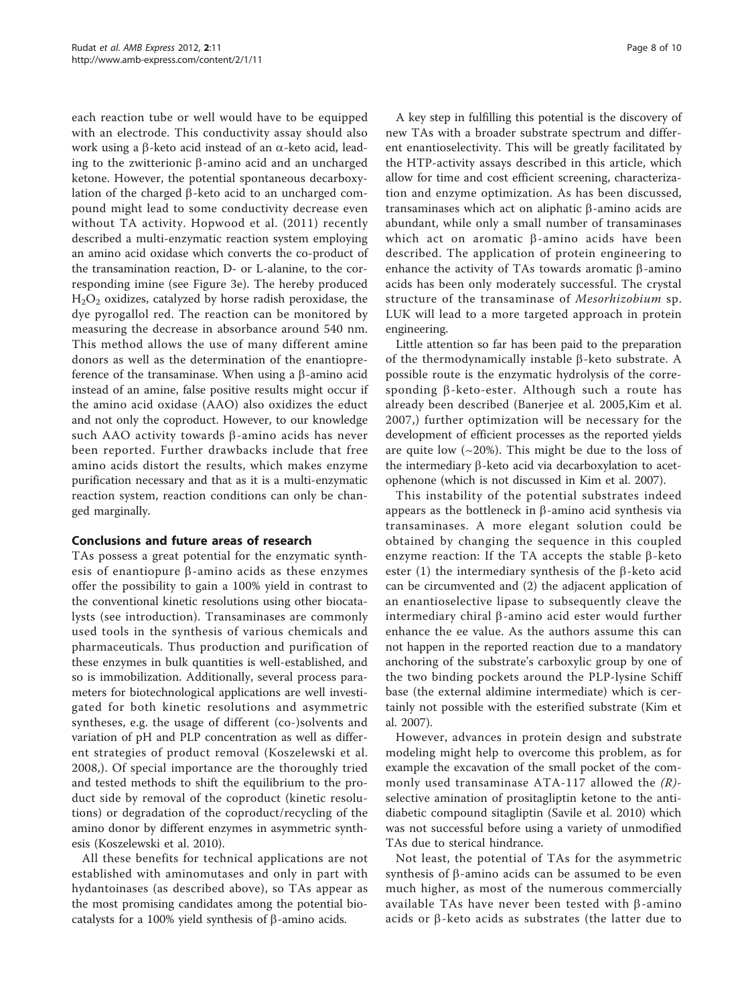each reaction tube or well would have to be equipped with an electrode. This conductivity assay should also work using a  $\beta$ -keto acid instead of an  $\alpha$ -keto acid, leading to the zwitterionic  $\beta$ -amino acid and an uncharged ketone. However, the potential spontaneous decarboxylation of the charged  $\beta$ -keto acid to an uncharged compound might lead to some conductivity decrease even without TA activity. [Hopwood et al. \(2011\)](#page-8-0) recently described a multi-enzymatic reaction system employing an amino acid oxidase which converts the co-product of the transamination reaction, D- or L-alanine, to the corresponding imine (see Figure [3e\)](#page-6-0). The hereby produced  $H<sub>2</sub>O<sub>2</sub>$  oxidizes, catalyzed by horse radish peroxidase, the dye pyrogallol red. The reaction can be monitored by measuring the decrease in absorbance around 540 nm. This method allows the use of many different amine donors as well as the determination of the enantiopreference of the transaminase. When using a  $\beta$ -amino acid instead of an amine, false positive results might occur if the amino acid oxidase (AAO) also oxidizes the educt and not only the coproduct. However, to our knowledge such AAO activity towards  $\beta$ -amino acids has never been reported. Further drawbacks include that free amino acids distort the results, which makes enzyme purification necessary and that as it is a multi-enzymatic reaction system, reaction conditions can only be changed marginally.

## Conclusions and future areas of research

TAs possess a great potential for the enzymatic synthesis of enantiopure  $\beta$ -amino acids as these enzymes offer the possibility to gain a 100% yield in contrast to the conventional kinetic resolutions using other biocatalysts (see introduction). Transaminases are commonly used tools in the synthesis of various chemicals and pharmaceuticals. Thus production and purification of these enzymes in bulk quantities is well-established, and so is immobilization. Additionally, several process parameters for biotechnological applications are well investigated for both kinetic resolutions and asymmetric syntheses, e.g. the usage of different (co-)solvents and variation of pH and PLP concentration as well as different strategies of product removal ([Koszelewski et al.](#page-8-0) [2008](#page-8-0),). Of special importance are the thoroughly tried and tested methods to shift the equilibrium to the product side by removal of the coproduct (kinetic resolutions) or degradation of the coproduct/recycling of the amino donor by different enzymes in asymmetric synthesis ([Koszelewski et al. 2010](#page-8-0)).

All these benefits for technical applications are not established with aminomutases and only in part with hydantoinases (as described above), so TAs appear as the most promising candidates among the potential biocatalysts for a 100% yield synthesis of  $\beta$ -amino acids.

A key step in fulfilling this potential is the discovery of new TAs with a broader substrate spectrum and different enantioselectivity. This will be greatly facilitated by the HTP-activity assays described in this article, which allow for time and cost efficient screening, characterization and enzyme optimization. As has been discussed, transaminases which act on aliphatic  $\beta$ -amino acids are abundant, while only a small number of transaminases which act on aromatic  $\beta$ -amino acids have been described. The application of protein engineering to enhance the activity of TAs towards aromatic  $\beta$ -amino acids has been only moderately successful. The crystal structure of the transaminase of Mesorhizobium sp. LUK will lead to a more targeted approach in protein engineering.

Little attention so far has been paid to the preparation of the thermodynamically instable  $\beta$ -keto substrate. A possible route is the enzymatic hydrolysis of the corresponding  $\beta$ -keto-ester. Although such a route has already been described [\(Banerjee et al. 2005,Kim et al.](#page-8-0) [2007,](#page-8-0)) further optimization will be necessary for the development of efficient processes as the reported yields are quite low  $(\sim 20\%)$ . This might be due to the loss of the intermediary  $\beta$ -keto acid via decarboxylation to acetophenone (which is not discussed in [Kim et al. 2007](#page-8-0)).

This instability of the potential substrates indeed appears as the bottleneck in  $\beta$ -amino acid synthesis via transaminases. A more elegant solution could be obtained by changing the sequence in this coupled enzyme reaction: If the TA accepts the stable  $\beta$ -keto ester  $(1)$  the intermediary synthesis of the  $\beta$ -keto acid can be circumvented and (2) the adjacent application of an enantioselective lipase to subsequently cleave the intermediary chiral  $\beta$ -amino acid ester would further enhance the ee value. As the authors assume this can not happen in the reported reaction due to a mandatory anchoring of the substrate's carboxylic group by one of the two binding pockets around the PLP-lysine Schiff base (the external aldimine intermediate) which is certainly not possible with the esterified substrate ([Kim et](#page-8-0) [al. 2007\)](#page-8-0).

However, advances in protein design and substrate modeling might help to overcome this problem, as for example the excavation of the small pocket of the commonly used transaminase ATA-117 allowed the  $(R)$ selective amination of prositagliptin ketone to the antidiabetic compound sitagliptin ([Savile et al. 2010](#page-9-0)) which was not successful before using a variety of unmodified TAs due to sterical hindrance.

Not least, the potential of TAs for the asymmetric synthesis of  $\beta$ -amino acids can be assumed to be even much higher, as most of the numerous commercially available TAs have never been tested with  $\beta$ -amino acids or  $\beta$ -keto acids as substrates (the latter due to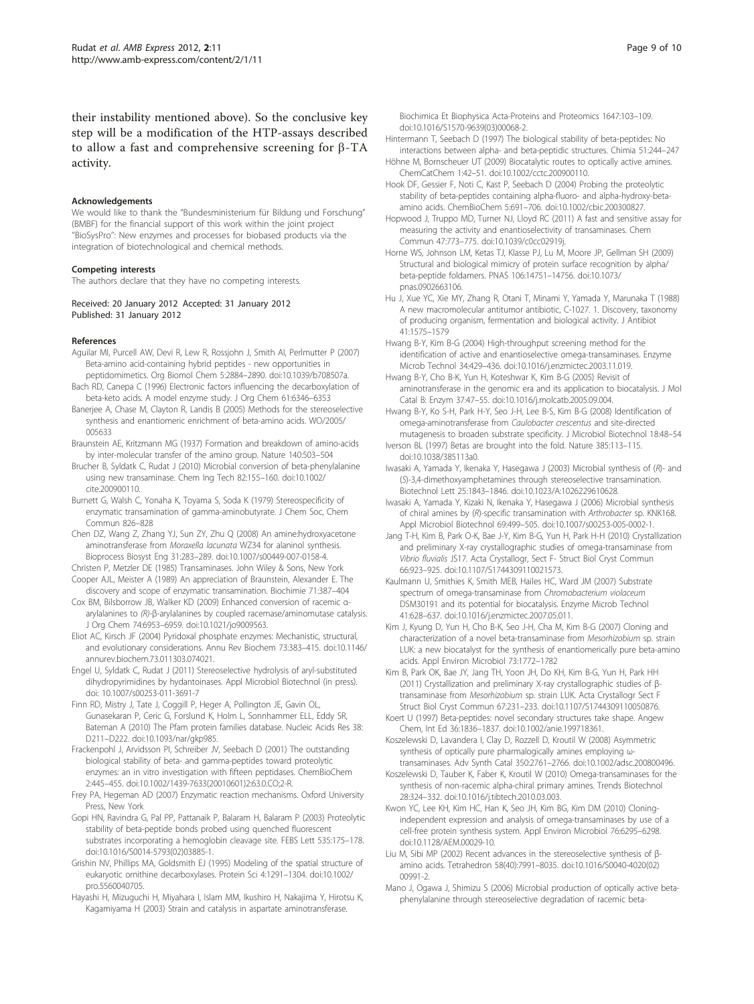<span id="page-8-0"></span>their instability mentioned above). So the conclusive key step will be a modification of the HTP-assays described to allow a fast and comprehensive screening for  $\beta$ -TA activity.

#### Acknowledgements

We would like to thank the "Bundesministerium für Bildung und Forschung" (BMBF) for the financial support of this work within the joint project ''BioSysPro'': New enzymes and processes for biobased products via the integration of biotechnological and chemical methods.

#### Competing interests

The authors declare that they have no competing interests.

Received: 20 January 2012 Accepted: 31 January 2012 Published: 31 January 2012

#### References

- Aguilar MI, Purcell AW, Devi R, Lew R, Rossjohn J, Smith AI, Perlmutter P (2007) [Beta-amino acid-containing hybrid peptides - new opportunities in](http://www.ncbi.nlm.nih.gov/pubmed/17728852?dopt=Abstract) [peptidomimetics.](http://www.ncbi.nlm.nih.gov/pubmed/17728852?dopt=Abstract) Org Biomol Chem 5:2884–2890. doi:10.1039/b708507a.
- Bach RD, Canepa C (1996) Electronic factors influencing the decarboxylation of beta-keto acids. A model enzyme study. J Org Chem 61:6346–6353
- Banerjee A, Chase M, Clayton R, Landis B (2005) Methods for the stereoselective synthesis and enantiomeric enrichment of beta-amino acids. WO/2005/ 005633
- Braunstein AE, Kritzmann MG (1937) Formation and breakdown of amino-acids by inter-molecular transfer of the amino group. Nature 140:503–504
- Brucher B, Syldatk C, Rudat J (2010) Microbial conversion of beta-phenylalanine using new transaminase. Chem Ing Tech 82:155–160. doi:10.1002/ cite.200900110.
- Burnett G, Walsh C, Yonaha K, Toyama S, Soda K (1979) Stereospecificity of enzymatic transamination of gamma-aminobutyrate. J Chem Soc, Chem Commun 826–828
- Chen DZ, Wang Z, Zhang YJ, Sun ZY, Zhu Q (2008[\) An amine:hydroxyacetone](http://www.ncbi.nlm.nih.gov/pubmed/17849151?dopt=Abstract) aminotransferase from Moraxella lacunata [WZ34 for alaninol synthesis.](http://www.ncbi.nlm.nih.gov/pubmed/17849151?dopt=Abstract) Bioprocess Biosyst Eng 31:283–289. doi:10.1007/s00449-007-0158-4.
- Christen P, Metzler DE (1985) Transaminases. John Wiley & Sons, New York Cooper AJL, Meister A (1989) An appreciation of Braunstein, Alexander E. The
- discovery and scope of enzymatic transamination. Biochimie 71:387–404 Cox BM, Bilsborrow JB, Walker KD (2009) [Enhanced conversion of racemic](http://www.ncbi.nlm.nih.gov/pubmed/19711925?dopt=Abstract) αarylalanines to (R)-β[-arylalanines by coupled racemase/aminomutase catalysis.](http://www.ncbi.nlm.nih.gov/pubmed/19711925?dopt=Abstract)
- J Org Chem 74:6953–6959. doi:10.1021/jo9009563. Eliot AC, Kirsch JF (2004) [Pyridoxal phosphate enzymes: Mechanistic, structural,](http://www.ncbi.nlm.nih.gov/pubmed/15189147?dopt=Abstract)
- [and evolutionary considerations.](http://www.ncbi.nlm.nih.gov/pubmed/15189147?dopt=Abstract) Annu Rev Biochem 73:383–415. doi:10.1146/ annurev.biochem.73.011303.074021.
- Engel U, Syldatk C, Rudat J (2011) Stereoselective hydrolysis of aryl-substituted dihydropyrimidines by hydantoinases. Appl Microbiol Biotechnol (in press). doi: 10.1007/s00253-011-3691-7
- Finn RD, Mistry J, Tate J, Coggill P, Heger A, Pollington JE, Gavin OL, Gunasekaran P, Ceric G, Forslund K, Holm L, Sonnhammer ELL, Eddy SR, Bateman A (2010) [The Pfam protein families database.](http://www.ncbi.nlm.nih.gov/pubmed/19920124?dopt=Abstract) Nucleic Acids Res 38: D211–D222. doi:10.1093/nar/gkp985.
- Frackenpohl J, Arvidsson PI, Schreiber JV, Seebach D (2001) [The outstanding](http://www.ncbi.nlm.nih.gov/pubmed/11828476?dopt=Abstract) [biological stability of beta- and gamma-peptides toward proteolytic](http://www.ncbi.nlm.nih.gov/pubmed/11828476?dopt=Abstract) [enzymes: an in vitro investigation with fifteen peptidases.](http://www.ncbi.nlm.nih.gov/pubmed/11828476?dopt=Abstract) ChemBioChem 2:445–455. doi:10.1002/1439-7633(20010601)2:63.0.CO;2-R.
- Frey PA, Hegeman AD (2007) Enzymatic reaction mechanisms. Oxford University Press, New York
- Gopi HN, Ravindra G, Pal PP, Pattanaik P, Balaram H, Balaram P (2003[\) Proteolytic](http://www.ncbi.nlm.nih.gov/pubmed/12560099?dopt=Abstract) [stability of beta-peptide bonds probed using quenched fluorescent](http://www.ncbi.nlm.nih.gov/pubmed/12560099?dopt=Abstract) [substrates incorporating a hemoglobin cleavage site.](http://www.ncbi.nlm.nih.gov/pubmed/12560099?dopt=Abstract) FEBS Lett 535:175–178. doi:10.1016/S0014-5793(02)03885-1.
- Grishin NV, Phillips MA, Goldsmith EJ (1995[\) Modeling of the spatial structure of](http://www.ncbi.nlm.nih.gov/pubmed/7670372?dopt=Abstract) [eukaryotic ornithine decarboxylases.](http://www.ncbi.nlm.nih.gov/pubmed/7670372?dopt=Abstract) Protein Sci 4:1291–1304. doi:10.1002/ pro.5560040705.
- Hayashi H, Mizuguchi H, Miyahara I, Islam MM, Ikushiro H, Nakajima Y, Hirotsu K, Kagamiyama H (2003) Strain and catalysis in aspartate aminotransferase.

Biochimica Et Biophysica Acta-Proteins and Proteomics 1647:103–109. doi:10.1016/S1570-9639(03)00068-2.

- Hintermann T, Seebach D (1997) The biological stability of beta-peptides: No interactions between alpha- and beta-peptidic structures. Chimia 51:244–247
- Höhne M, Bornscheuer UT (2009) Biocatalytic routes to optically active amines. ChemCatChem 1:42–51. doi:10.1002/cctc.200900110.
- Hook DF, Gessier F, Noti C, Kast P, Seebach D (2004) [Probing the proteolytic](http://www.ncbi.nlm.nih.gov/pubmed/15122642?dopt=Abstract) [stability of beta-peptides containing alpha-fluoro- and alpha-hydroxy-beta](http://www.ncbi.nlm.nih.gov/pubmed/15122642?dopt=Abstract)[amino acids.](http://www.ncbi.nlm.nih.gov/pubmed/15122642?dopt=Abstract) ChemBioChem 5:691–706. doi:10.1002/cbic.200300827.
- Hopwood J, Truppo MD, Turner NJ, Lloyd RC (2011) A fast and sensitive assay for measuring the activity and enantioselectivity of transaminases. Chem Commun 47:773–775. doi:10.1039/c0cc02919j.
- Horne WS, Johnson LM, Ketas TJ, Klasse PJ, Lu M, Moore JP, Gellman SH (2009) [Structural and biological mimicry of protein surface recognition by alpha/](http://www.ncbi.nlm.nih.gov/pubmed/19706443?dopt=Abstract) [beta-peptide foldamers.](http://www.ncbi.nlm.nih.gov/pubmed/19706443?dopt=Abstract) PNAS 106:14751–14756. doi:10.1073/ pnas.0902663106.
- Hu J, Xue YC, Xie MY, Zhang R, Otani T, Minami Y, Yamada Y, Marunaka T (1988) A new macromolecular antitumor antibiotic, C-1027. 1. Discovery, taxonomy of producing organism, fermentation and biological activity. J Antibiot 41:1575–1579
- Hwang B-Y, Kim B-G (2004) High-throughput screening method for the identification of active and enantioselective omega-transaminases. Enzyme Microb Technol 34:429–436. doi:10.1016/j.enzmictec.2003.11.019.
- Hwang B-Y, Cho B-K, Yun H, Koteshwar K, Kim B-G (2005) Revisit of aminotransferase in the genomic era and its application to biocatalysis. J Mol Catal B: Enzym 37:47–55. doi:10.1016/j.molcatb.2005.09.004.
- Hwang B-Y, Ko S-H, Park H-Y, Seo J-H, Lee B-S, Kim B-G (2008[\) Identification of](http://www.ncbi.nlm.nih.gov/pubmed/18239415?dopt=Abstract) [omega-aminotransferase from](http://www.ncbi.nlm.nih.gov/pubmed/18239415?dopt=Abstract) Caulobacter crescentus and site-directed [mutagenesis to broaden substrate specificity.](http://www.ncbi.nlm.nih.gov/pubmed/18239415?dopt=Abstract) J Microbiol Biotechnol 18:48–54
- Iverson BL (1997) [Betas are brought into the fold.](http://www.ncbi.nlm.nih.gov/pubmed/8990107?dopt=Abstract) Nature 385:113–115. doi:10.1038/385113a0.
- Iwasaki A, Yamada Y, Ikenaka Y, Hasegawa J (2003[\) Microbial synthesis of \(](http://www.ncbi.nlm.nih.gov/pubmed/14677709?dopt=Abstract)R)- and (S[\)-3,4-dimethoxyamphetamines through stereoselective transamination.](http://www.ncbi.nlm.nih.gov/pubmed/14677709?dopt=Abstract) Biotechnol Lett 25:1843–1846. doi:10.1023/A:1026229610628.
- Iwasaki A, Yamada Y, Kizaki N, Ikenaka Y, Hasegawa J (2006) Microbial synthesis of chiral amines by (R)-specific transamination with Arthrobacter sp. KNK168. Appl Microbiol Biotechnol 69:499–505. doi:10.1007/s00253-005-0002-1.
- Jang T-H, Kim B, Park O-K, Bae J-Y, Kim B-G, Yun H, Park H-H (2010) Crystallization and preliminary X-ray crystallographic studies of omega-transaminase from Vibrio fluvialis JS17. Acta Crystallogr, Sect F- Struct Biol Cryst Commun 66:923–925. doi:10.1107/S1744309110021573.
- Kaulmann U, Smithies K, Smith MEB, Hailes HC, Ward JM (2007) Substrate spectrum of omega-transaminase from Chromobacterium violaceum DSM30191 and its potential for biocatalysis. Enzyme Microb Technol 41:628–637. doi:10.1016/j.enzmictec.2007.05.011.
- Kim J, Kyung D, Yun H, Cho B-K, Seo J-H, Cha M, Kim B-G (2007) Cloning and characterization of a novel beta-transaminase from Mesorhizobium sp. strain LUK: a new biocatalyst for the synthesis of enantiomerically pure beta-amino acids. Appl Environ Microbiol 73:1772–1782
- Kim B, Park OK, Bae JY, Jang TH, Yoon JH, Do KH, Kim B-G, Yun H, Park HH (2011) Crystallization and preliminary X-ray crystallographic studies of βtransaminase from Mesorhizobium sp. strain LUK. Acta Crystallogr Sect F Struct Biol Cryst Commun 67:231–233. doi:10.1107/S1744309110050876.
- Koert U (1997) Beta-peptides: novel secondary structures take shape. Angew Chem, Int Ed 36:1836–1837. doi:10.1002/anie.199718361.
- Koszelewski D, Lavandera I, Clay D, Rozzell D, Kroutil W (2008) Asymmetric synthesis of optically pure pharmalogically amines employing ωtransaminases. Adv Synth Catal 350:2761–2766. doi:10.1002/adsc.200800496.
- Koszelewski D, Tauber K, Faber K, Kroutil W (2010[\) Omega-transaminases for the](http://www.ncbi.nlm.nih.gov/pubmed/20430457?dopt=Abstract) [synthesis of non-racemic alpha-chiral primary amines.](http://www.ncbi.nlm.nih.gov/pubmed/20430457?dopt=Abstract) Trends Biotechnol 28:324–332. doi:10.1016/j.tibtech.2010.03.003.
- Kwon YC, Lee KH, Kim HC, Han K, Seo JH, Kim BG, Kim DM (2010[\) Cloning](http://www.ncbi.nlm.nih.gov/pubmed/20656866?dopt=Abstract)[independent expression and analysis of omega-transaminases by use of a](http://www.ncbi.nlm.nih.gov/pubmed/20656866?dopt=Abstract) [cell-free protein synthesis system.](http://www.ncbi.nlm.nih.gov/pubmed/20656866?dopt=Abstract) Appl Environ Microbiol 76:6295–6298. doi:10.1128/AEM.00029-10.
- Liu M, Sibi MP (2002) Recent advances in the stereoselective synthesis of βamino acids. Tetrahedron 58(40):7991–8035. doi:10.1016/S0040-4020(02) 00991-2.
- Mano J, Ogawa J, Shimizu S (2006) Microbial production of optically active betaphenylalanine through stereoselective degradation of racemic beta-